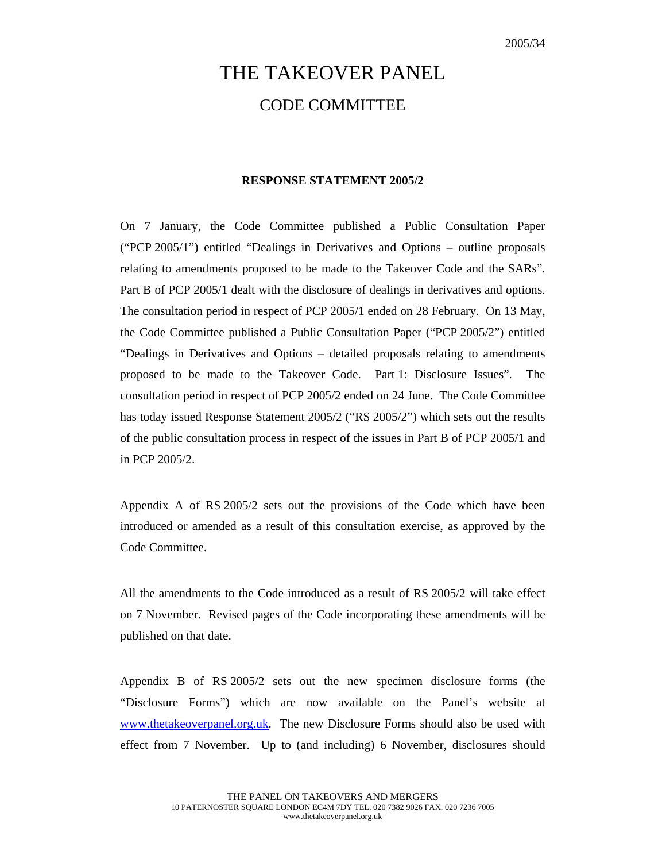## THE TAKEOVER PANEL CODE COMMITTEE

## **RESPONSE STATEMENT 2005/2**

On 7 January, the Code Committee published a Public Consultation Paper ("PCP 2005/1") entitled "Dealings in Derivatives and Options – outline proposals relating to amendments proposed to be made to the Takeover Code and the SARs". Part B of PCP 2005/1 dealt with the disclosure of dealings in derivatives and options. The consultation period in respect of PCP 2005/1 ended on 28 February. On 13 May, the Code Committee published a Public Consultation Paper ("PCP 2005/2") entitled "Dealings in Derivatives and Options – detailed proposals relating to amendments proposed to be made to the Takeover Code. Part 1: Disclosure Issues". The consultation period in respect of PCP 2005/2 ended on 24 June. The Code Committee has today issued Response Statement 2005/2 ("RS 2005/2") which sets out the results of the public consultation process in respect of the issues in Part B of PCP 2005/1 and in PCP 2005/2.

Appendix A of RS 2005/2 sets out the provisions of the Code which have been introduced or amended as a result of this consultation exercise, as approved by the Code Committee.

All the amendments to the Code introduced as a result of RS 2005/2 will take effect on 7 November. Revised pages of the Code incorporating these amendments will be published on that date.

Appendix B of RS 2005/2 sets out the new specimen disclosure forms (the "Disclosure Forms") which are now available on the Panel's website at www.thetakeoverpanel.org.uk. The new Disclosure Forms should also be used with effect from 7 November. Up to (and including) 6 November, disclosures should